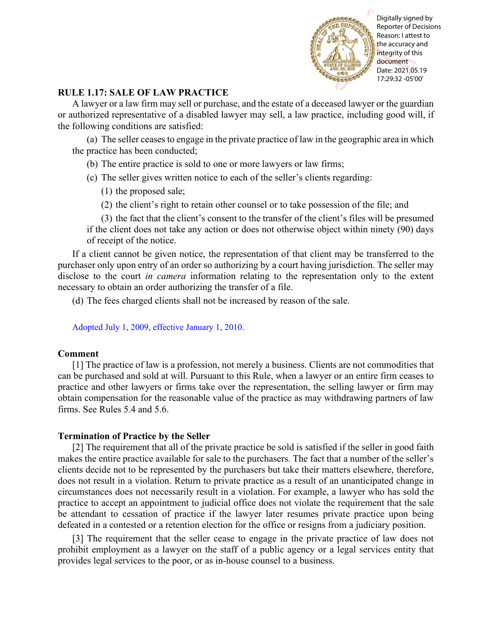

# **RULE 1.17: SALE OF LAW PRACTICE**

A lawyer or a law firm may sell or purchase, and the estate of a deceased lawyer or the guardian or authorized representative of a disabled lawyer may sell, a law practice, including good will, if the following conditions are satisfied:

(a) The seller ceases to engage in the private practice of law in the geographic area in which the practice has been conducted;

(b) The entire practice is sold to one or more lawyers or law firms;

- (c) The seller gives written notice to each of the seller's clients regarding:
	- (1) the proposed sale;
	- (2) the client's right to retain other counsel or to take possession of the file; and

(3) the fact that the client's consent to the transfer of the client's files will be presumed if the client does not take any action or does not otherwise object within ninety (90) days of receipt of the notice.

If a client cannot be given notice, the representation of that client may be transferred to the purchaser only upon entry of an order so authorizing by a court having jurisdiction. The seller may disclose to the court *in camera* information relating to the representation only to the extent necessary to obtain an order authorizing the transfer of a file.

(d) The fees charged clients shall not be increased by reason of the sale.

[Adopted July 1, 2009, effective January 1, 2010.](http://www.illinoiscourts.gov/files/070109.pdf/amendment)

## **Comment**

[1] The practice of law is a profession, not merely a business. Clients are not commodities that can be purchased and sold at will. Pursuant to this Rule, when a lawyer or an entire firm ceases to practice and other lawyers or firms take over the representation, the selling lawyer or firm may obtain compensation for the reasonable value of the practice as may withdrawing partners of law firms. See Rules 5.4 and 5.6.

## **Termination of Practice by the Seller**

[2] The requirement that all of the private practice be sold is satisfied if the seller in good faith makes the entire practice available for sale to the purchasers. The fact that a number of the seller's clients decide not to be represented by the purchasers but take their matters elsewhere, therefore, does not result in a violation. Return to private practice as a result of an unanticipated change in circumstances does not necessarily result in a violation. For example, a lawyer who has sold the practice to accept an appointment to judicial office does not violate the requirement that the sale be attendant to cessation of practice if the lawyer later resumes private practice upon being defeated in a contested or a retention election for the office or resigns from a judiciary position. **PROFIT AN SALE OF LAW PRACTICE**<br> **PROCESS AN EXACTICE**<br> **REVILE 1.17: SALE OF LAW PRACTICE**<br>
A lawyer or a law for purchase, and the estate of a decessed lawyer or the guard of the<br>
the following coulting are similately t

[3] The requirement that the seller cease to engage in the private practice of law does not prohibit employment as a lawyer on the staff of a public agency or a legal services entity that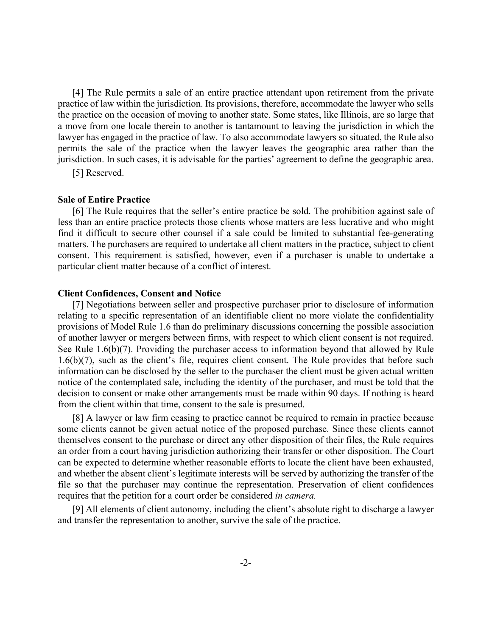[4] The Rule permits a sale of an entire practice attendant upon retirement from the private practice of law within the jurisdiction. Its provisions, therefore, accommodate the lawyer who sells the practice on the occasion of moving to another state. Some states, like Illinois, are so large that a move from one locale therein to another is tantamount to leaving the jurisdiction in which the lawyer has engaged in the practice of law. To also accommodate lawyers so situated, the Rule also permits the sale of the practice when the lawyer leaves the geographic area rather than the jurisdiction. In such cases, it is advisable for the parties' agreement to define the geographic area.

[5] Reserved.

#### **Sale of Entire Practice**

[6] The Rule requires that the seller's entire practice be sold. The prohibition against sale of less than an entire practice protects those clients whose matters are less lucrative and who might find it difficult to secure other counsel if a sale could be limited to substantial fee-generating matters. The purchasers are required to undertake all client matters in the practice, subject to client consent. This requirement is satisfied, however, even if a purchaser is unable to undertake a particular client matter because of a conflict of interest.

### **Client Confidences, Consent and Notice**

[7] Negotiations between seller and prospective purchaser prior to disclosure of information relating to a specific representation of an identifiable client no more violate the confidentiality provisions of Model Rule 1.6 than do preliminary discussions concerning the possible association of another lawyer or mergers between firms, with respect to which client consent is not required. See Rule 1.6(b)(7). Providing the purchaser access to information beyond that allowed by Rule 1.6(b)(7), such as the client's file, requires client consent. The Rule provides that before such information can be disclosed by the seller to the purchaser the client must be given actual written notice of the contemplated sale, including the identity of the purchaser, and must be told that the decision to consent or make other arrangements must be made within 90 days. If nothing is heard from the client within that time, consent to the sale is presumed.

[8] A lawyer or law firm ceasing to practice cannot be required to remain in practice because some clients cannot be given actual notice of the proposed purchase. Since these clients cannot themselves consent to the purchase or direct any other disposition of their files, the Rule requires an order from a court having jurisdiction authorizing their transfer or other disposition. The Court can be expected to determine whether reasonable efforts to locate the client have been exhausted, and whether the absent client's legitimate interests will be served by authorizing the transfer of the file so that the purchaser may continue the representation. Preservation of client confidences requires that the petition for a court order be considered *in camera.*

[9] All elements of client autonomy, including the client's absolute right to discharge a lawyer and transfer the representation to another, survive the sale of the practice.